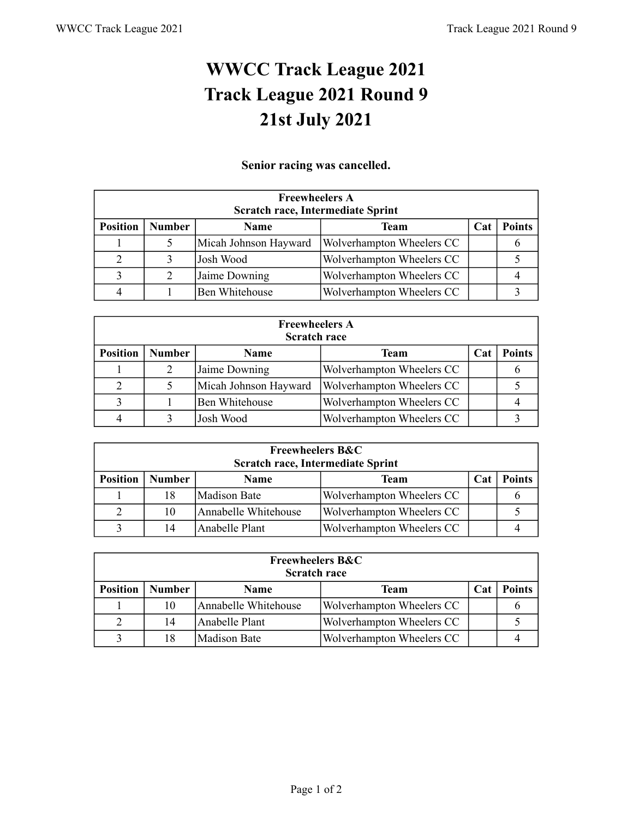## **WWCC Track League 2021 Track League 2021 Round 9 21st July 2021**

## **Senior racing was cancelled.**

| <b>Freewheelers A</b><br><b>Scratch race, Intermediate Sprint</b>                             |   |                       |                           |  |  |  |  |
|-----------------------------------------------------------------------------------------------|---|-----------------------|---------------------------|--|--|--|--|
| <b>Position</b><br><b>Number</b><br><b>Points</b><br><b>Team</b><br><b>Name</b><br><b>Cat</b> |   |                       |                           |  |  |  |  |
|                                                                                               |   | Micah Johnson Hayward | Wolverhampton Wheelers CC |  |  |  |  |
| 2                                                                                             |   | Josh Wood             | Wolverhampton Wheelers CC |  |  |  |  |
|                                                                                               | 2 | Jaime Downing         | Wolverhampton Wheelers CC |  |  |  |  |
|                                                                                               |   | <b>Ben Whitehouse</b> | Wolverhampton Wheelers CC |  |  |  |  |

| <b>Freewheelers A</b><br><b>Scratch race</b>                                           |  |                       |                           |  |  |  |  |
|----------------------------------------------------------------------------------------|--|-----------------------|---------------------------|--|--|--|--|
| <b>Position</b><br><b>Number</b><br><b>Points</b><br><b>Team</b><br><b>Name</b><br>Cat |  |                       |                           |  |  |  |  |
|                                                                                        |  | Jaime Downing         | Wolverhampton Wheelers CC |  |  |  |  |
|                                                                                        |  | Micah Johnson Hayward | Wolverhampton Wheelers CC |  |  |  |  |
|                                                                                        |  | Ben Whitehouse        | Wolverhampton Wheelers CC |  |  |  |  |
|                                                                                        |  | Josh Wood             | Wolverhampton Wheelers CC |  |  |  |  |

| <b>Freewheelers B&amp;C</b><br>Scratch race, Intermediate Sprint |                                                                     |                      |                           |  |  |  |  |
|------------------------------------------------------------------|---------------------------------------------------------------------|----------------------|---------------------------|--|--|--|--|
| <b>Position</b>                                                  | <b>Number</b><br><b>Points</b><br>Team<br><b>Name</b><br><b>Cat</b> |                      |                           |  |  |  |  |
|                                                                  | 18                                                                  | Madison Bate         | Wolverhampton Wheelers CC |  |  |  |  |
|                                                                  | 10                                                                  | Annabelle Whitehouse | Wolverhampton Wheelers CC |  |  |  |  |
|                                                                  | 14                                                                  | Anabelle Plant       | Wolverhampton Wheelers CC |  |  |  |  |

| <b>Freewheelers B&amp;C</b><br><b>Scratch race</b> |                                                                            |                      |                           |  |  |  |  |
|----------------------------------------------------|----------------------------------------------------------------------------|----------------------|---------------------------|--|--|--|--|
| <b>Position</b>                                    | <b>Number</b><br><b>Points</b><br><b>Team</b><br><b>Name</b><br><b>Cat</b> |                      |                           |  |  |  |  |
|                                                    | 10                                                                         | Annabelle Whitehouse | Wolverhampton Wheelers CC |  |  |  |  |
|                                                    | 14                                                                         | Anabelle Plant       | Wolverhampton Wheelers CC |  |  |  |  |
|                                                    | 18                                                                         | lMadison Bate        | Wolverhampton Wheelers CC |  |  |  |  |